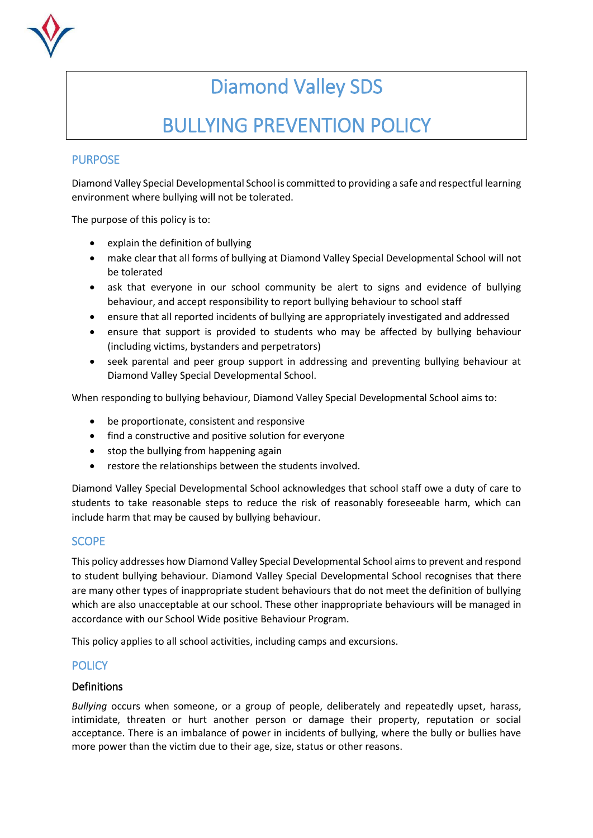

# Diamond Valley SDS

# BULLYING PREVENTION POLICY

# PURPOSE

Diamond Valley Special Developmental School is committed to providing a safe and respectful learning environment where bullying will not be tolerated.

The purpose of this policy is to:

- explain the definition of bullying
- make clear that all forms of bullying at Diamond Valley Special Developmental School will not be tolerated
- ask that everyone in our school community be alert to signs and evidence of bullying behaviour, and accept responsibility to report bullying behaviour to school staff
- ensure that all reported incidents of bullying are appropriately investigated and addressed
- ensure that support is provided to students who may be affected by bullying behaviour (including victims, bystanders and perpetrators)
- seek parental and peer group support in addressing and preventing bullying behaviour at Diamond Valley Special Developmental School.

When responding to bullying behaviour, Diamond Valley Special Developmental School aims to:

- be proportionate, consistent and responsive
- find a constructive and positive solution for everyone
- stop the bullying from happening again
- restore the relationships between the students involved.

Diamond Valley Special Developmental School acknowledges that school staff owe a duty of care to students to take reasonable steps to reduce the risk of reasonably foreseeable harm, which can include harm that may be caused by bullying behaviour.

# **SCOPE**

This policy addresses how Diamond Valley Special Developmental School aimsto prevent and respond to student bullying behaviour. Diamond Valley Special Developmental School recognises that there are many other types of inappropriate student behaviours that do not meet the definition of bullying which are also unacceptable at our school. These other inappropriate behaviours will be managed in accordance with our School Wide positive Behaviour Program.

This policy applies to all school activities, including camps and excursions.

# **POLICY**

#### Definitions

*Bullying* occurs when someone, or a group of people, deliberately and repeatedly upset, harass, intimidate, threaten or hurt another person or damage their property, reputation or social acceptance. There is an imbalance of power in incidents of bullying, where the bully or bullies have more power than the victim due to their age, size, status or other reasons.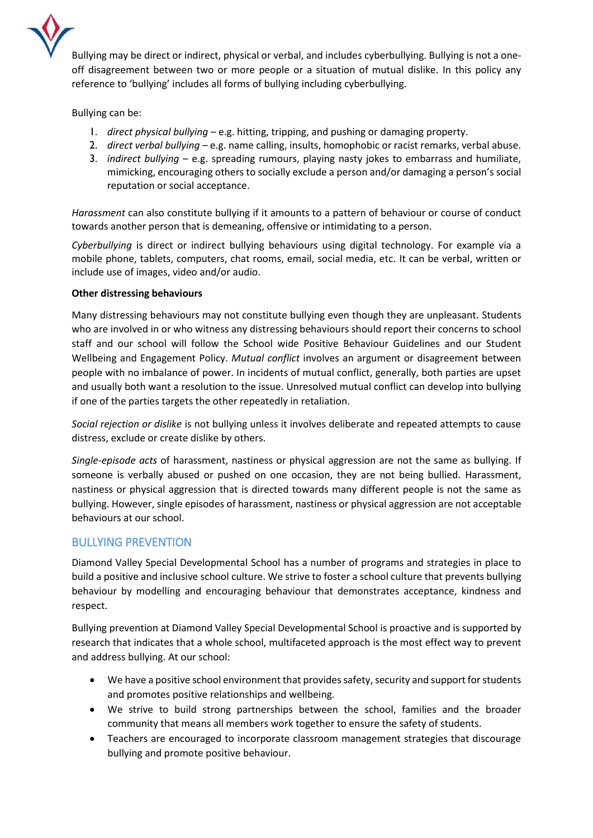

Bullying may be direct or indirect, physical or verbal, and includes cyberbullying. Bullying is not a oneoff disagreement between two or more people or a situation of mutual dislike. In this policy any reference to 'bullying' includes all forms of bullying including cyberbullying.

Bullying can be:

- 1. *direct physical bullying* e.g. hitting, tripping, and pushing or damaging property.
- 2. *direct verbal bullying* e.g. name calling, insults, homophobic or racist remarks, verbal abuse.
- 3. *indirect bullying* e.g. spreading rumours, playing nasty jokes to embarrass and humiliate, mimicking, encouraging others to socially exclude a person and/or damaging a person's social reputation or social acceptance.

*Harassment* can also constitute bullying if it amounts to a pattern of behaviour or course of conduct towards another person that is demeaning, offensive or intimidating to a person.

*Cyberbullying* is direct or indirect bullying behaviours using digital technology. For example via a mobile phone, tablets, computers, chat rooms, email, social media, etc. It can be verbal, written or include use of images, video and/or audio.

#### **Other distressing behaviours**

Many distressing behaviours may not constitute bullying even though they are unpleasant. Students who are involved in or who witness any distressing behaviours should report their concerns to school staff and our school will follow the School wide Positive Behaviour Guidelines and our Student Wellbeing and Engagement Policy. *Mutual conflict* involves an argument or disagreement between people with no imbalance of power. In incidents of mutual conflict, generally, both parties are upset and usually both want a resolution to the issue. Unresolved mutual conflict can develop into bullying if one of the parties targets the other repeatedly in retaliation.

*Social rejection or dislike* is not bullying unless it involves deliberate and repeated attempts to cause distress, exclude or create dislike by others.

*Single-episode acts* of harassment, nastiness or physical aggression are not the same as bullying. If someone is verbally abused or pushed on one occasion, they are not being bullied. Harassment, nastiness or physical aggression that is directed towards many different people is not the same as bullying. However, single episodes of harassment, nastiness or physical aggression are not acceptable behaviours at our school.

#### BULLYING PREVENTION

Diamond Valley Special Developmental School has a number of programs and strategies in place to build a positive and inclusive school culture. We strive to foster a school culture that prevents bullying behaviour by modelling and encouraging behaviour that demonstrates acceptance, kindness and respect.

Bullying prevention at Diamond Valley Special Developmental School is proactive and is supported by research that indicates that a whole school, multifaceted approach is the most effect way to prevent and address bullying. At our school:

- We have a positive school environment that provides safety, security and support for students and promotes positive relationships and wellbeing.
- We strive to build strong partnerships between the school, families and the broader community that means all members work together to ensure the safety of students.
- Teachers are encouraged to incorporate classroom management strategies that discourage bullying and promote positive behaviour.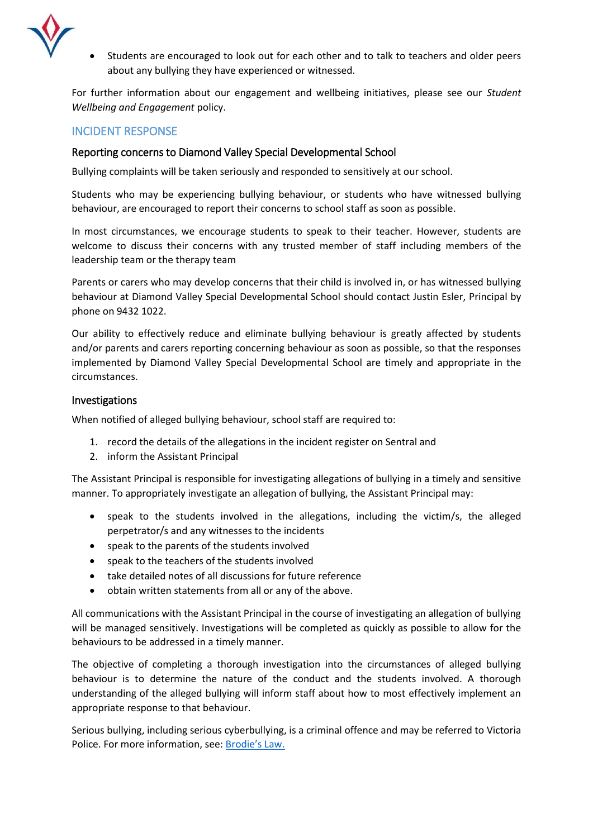

 Students are encouraged to look out for each other and to talk to teachers and older peers about any bullying they have experienced or witnessed.

For further information about our engagement and wellbeing initiatives, please see our *Student Wellbeing and Engagement* policy.

### INCIDENT RESPONSE

#### Reporting concerns to Diamond Valley Special Developmental School

Bullying complaints will be taken seriously and responded to sensitively at our school.

Students who may be experiencing bullying behaviour, or students who have witnessed bullying behaviour, are encouraged to report their concerns to school staff as soon as possible.

In most circumstances, we encourage students to speak to their teacher. However, students are welcome to discuss their concerns with any trusted member of staff including members of the leadership team or the therapy team

Parents or carers who may develop concerns that their child is involved in, or has witnessed bullying behaviour at Diamond Valley Special Developmental School should contact Justin Esler, Principal by phone on 9432 1022.

Our ability to effectively reduce and eliminate bullying behaviour is greatly affected by students and/or parents and carers reporting concerning behaviour as soon as possible, so that the responses implemented by Diamond Valley Special Developmental School are timely and appropriate in the circumstances.

#### Investigations

When notified of alleged bullying behaviour, school staff are required to:

- 1. record the details of the allegations in the incident register on Sentral and
- 2. inform the Assistant Principal

The Assistant Principal is responsible for investigating allegations of bullying in a timely and sensitive manner. To appropriately investigate an allegation of bullying, the Assistant Principal may:

- speak to the students involved in the allegations, including the victim/s, the alleged perpetrator/s and any witnesses to the incidents
- speak to the parents of the students involved
- speak to the teachers of the students involved
- take detailed notes of all discussions for future reference
- obtain written statements from all or any of the above.

All communications with the Assistant Principal in the course of investigating an allegation of bullying will be managed sensitively. Investigations will be completed as quickly as possible to allow for the behaviours to be addressed in a timely manner.

The objective of completing a thorough investigation into the circumstances of alleged bullying behaviour is to determine the nature of the conduct and the students involved. A thorough understanding of the alleged bullying will inform staff about how to most effectively implement an appropriate response to that behaviour.

Serious bullying, including serious cyberbullying, is a criminal offence and may be referred to Victoria Police. For more information, see: [Brodie's Law.](http://www.education.vic.gov.au/about/programs/bullystoppers/Pages/advicesheetbrodieslaw.aspx)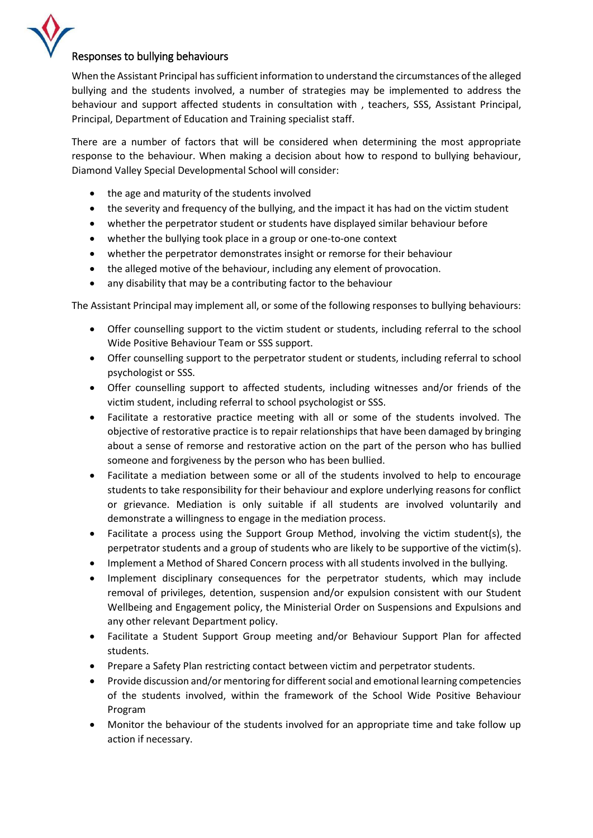

When the Assistant Principal has sufficient information to understand the circumstances of the alleged bullying and the students involved, a number of strategies may be implemented to address the behaviour and support affected students in consultation with , teachers, SSS, Assistant Principal, Principal, Department of Education and Training specialist staff.

There are a number of factors that will be considered when determining the most appropriate response to the behaviour. When making a decision about how to respond to bullying behaviour, Diamond Valley Special Developmental School will consider:

- the age and maturity of the students involved
- the severity and frequency of the bullying, and the impact it has had on the victim student
- whether the perpetrator student or students have displayed similar behaviour before
- whether the bullying took place in a group or one-to-one context
- whether the perpetrator demonstrates insight or remorse for their behaviour
- the alleged motive of the behaviour, including any element of provocation.
- any disability that may be a contributing factor to the behaviour

The Assistant Principal may implement all, or some of the following responses to bullying behaviours:

- Offer counselling support to the victim student or students, including referral to the school Wide Positive Behaviour Team or SSS support.
- Offer counselling support to the perpetrator student or students, including referral to school psychologist or SSS.
- Offer counselling support to affected students, including witnesses and/or friends of the victim student, including referral to school psychologist or SSS.
- Facilitate a restorative practice meeting with all or some of the students involved. The objective of restorative practice is to repair relationships that have been damaged by bringing about a sense of remorse and restorative action on the part of the person who has bullied someone and forgiveness by the person who has been bullied.
- Facilitate a mediation between some or all of the students involved to help to encourage students to take responsibility for their behaviour and explore underlying reasons for conflict or grievance. Mediation is only suitable if all students are involved voluntarily and demonstrate a willingness to engage in the mediation process.
- Facilitate a process using the Support Group Method, involving the victim student(s), the perpetrator students and a group of students who are likely to be supportive of the victim(s).
- Implement a Method of Shared Concern process with all students involved in the bullying.
- Implement disciplinary consequences for the perpetrator students, which may include removal of privileges, detention, suspension and/or expulsion consistent with our Student Wellbeing and Engagement policy, the Ministerial Order on Suspensions and Expulsions and any other relevant Department policy.
- Facilitate a Student Support Group meeting and/or Behaviour Support Plan for affected students.
- Prepare a Safety Plan restricting contact between victim and perpetrator students.
- Provide discussion and/or mentoring for different social and emotional learning competencies of the students involved, within the framework of the School Wide Positive Behaviour Program
- Monitor the behaviour of the students involved for an appropriate time and take follow up action if necessary.